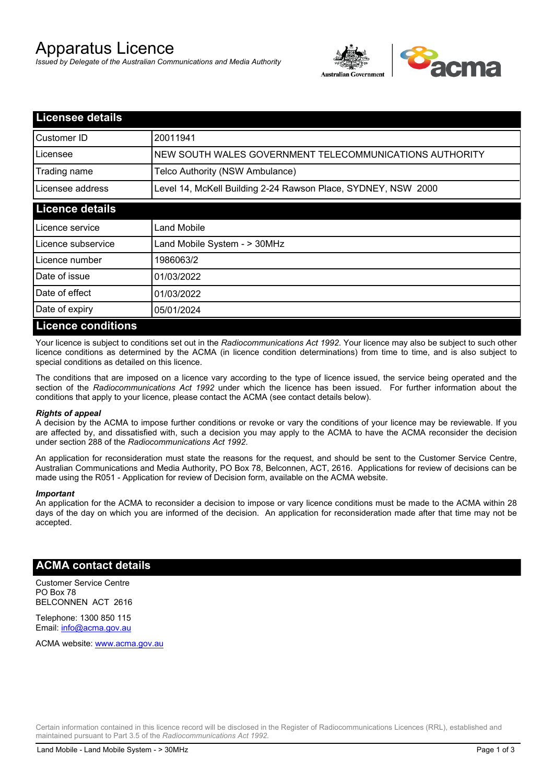# Apparatus Licence

*Issued by Delegate of the Australian Communications and Media Authority*



| <b>Licensee details</b>   |                                                               |
|---------------------------|---------------------------------------------------------------|
| Customer ID               | 20011941                                                      |
| Licensee                  | NEW SOUTH WALES GOVERNMENT TELECOMMUNICATIONS AUTHORITY       |
| Trading name              | Telco Authority (NSW Ambulance)                               |
| Licensee address          | Level 14, McKell Building 2-24 Rawson Place, SYDNEY, NSW 2000 |
| <b>Licence details</b>    |                                                               |
| l Licence service         | <b>Land Mobile</b>                                            |
| Licence subservice        | Land Mobile System - > 30MHz                                  |
| Licence number            | 1986063/2                                                     |
| Date of issue             | 01/03/2022                                                    |
| Date of effect            | 01/03/2022                                                    |
| Date of expiry            | 05/01/2024                                                    |
| <b>Licence conditions</b> |                                                               |

Your licence is subject to conditions set out in the *Radiocommunications Act 1992*. Your licence may also be subject to such other licence conditions as determined by the ACMA (in licence condition determinations) from time to time, and is also subject to special conditions as detailed on this licence.

The conditions that are imposed on a licence vary according to the type of licence issued, the service being operated and the section of the *Radiocommunications Act 1992* under which the licence has been issued. For further information about the conditions that apply to your licence, please contact the ACMA (see contact details below).

#### *Rights of appeal*

A decision by the ACMA to impose further conditions or revoke or vary the conditions of your licence may be reviewable. If you are affected by, and dissatisfied with, such a decision you may apply to the ACMA to have the ACMA reconsider the decision under section 288 of the *Radiocommunications Act 1992*.

An application for reconsideration must state the reasons for the request, and should be sent to the Customer Service Centre, Australian Communications and Media Authority, PO Box 78, Belconnen, ACT, 2616. Applications for review of decisions can be made using the R051 - Application for review of Decision form, available on the ACMA website.

#### *Important*

An application for the ACMA to reconsider a decision to impose or vary licence conditions must be made to the ACMA within 28 days of the day on which you are informed of the decision. An application for reconsideration made after that time may not be accepted.

### **ACMA contact details**

Customer Service Centre PO Box 78 BELCONNEN ACT 2616

Telephone: 1300 850 115 Email: info@acma.gov.au

ACMA website: www.acma.gov.au

Certain information contained in this licence record will be disclosed in the Register of Radiocommunications Licences (RRL), established and maintained pursuant to Part 3.5 of the *Radiocommunications Act 1992.*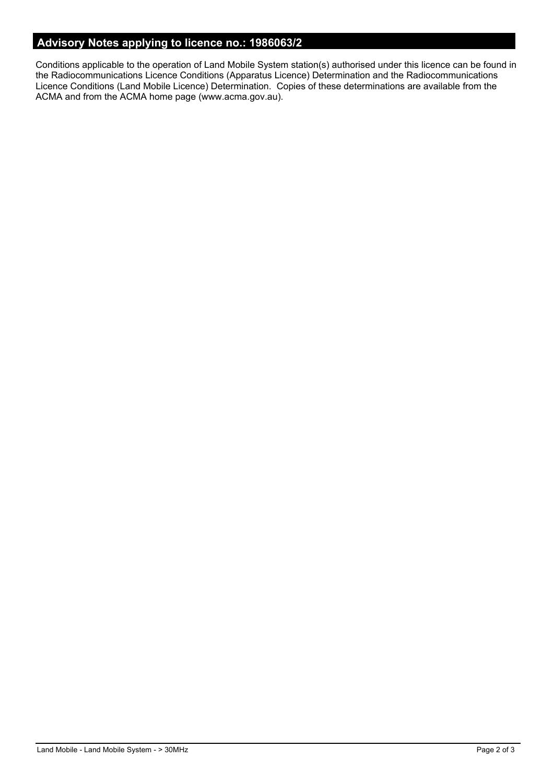# **Advisory Notes applying to licence no.: 1986063/2**

Conditions applicable to the operation of Land Mobile System station(s) authorised under this licence can be found in the Radiocommunications Licence Conditions (Apparatus Licence) Determination and the Radiocommunications Licence Conditions (Land Mobile Licence) Determination. Copies of these determinations are available from the ACMA and from the ACMA home page (www.acma.gov.au).